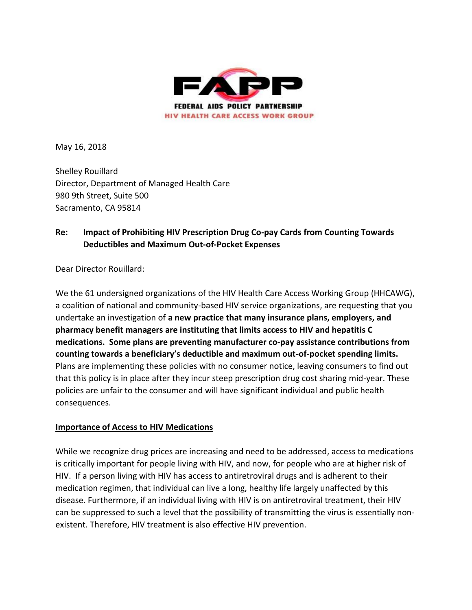

May 16, 2018

Shelley Rouillard Director, Department of Managed Health Care 980 9th Street, Suite 500 Sacramento, CA 95814

### **Re: Impact of Prohibiting HIV Prescription Drug Co-pay Cards from Counting Towards Deductibles and Maximum Out-of-Pocket Expenses**

Dear Director Rouillard:

We the 61 undersigned organizations of the HIV Health Care Access Working Group (HHCAWG), a coalition of national and community-based HIV service organizations, are requesting that you undertake an investigation of **a new practice that many insurance plans, employers, and pharmacy benefit managers are instituting that limits access to HIV and hepatitis C medications. Some plans are preventing manufacturer co-pay assistance contributions from counting towards a beneficiary's deductible and maximum out-of-pocket spending limits.** Plans are implementing these policies with no consumer notice, leaving consumers to find out that this policy is in place after they incur steep prescription drug cost sharing mid-year. These policies are unfair to the consumer and will have significant individual and public health consequences.

#### **Importance of Access to HIV Medications**

While we recognize drug prices are increasing and need to be addressed, access to medications is critically important for people living with HIV, and now, for people who are at higher risk of HIV. If a person living with HIV has access to antiretroviral drugs and is adherent to their medication regimen, that individual can live a long, healthy life largely unaffected by this disease. Furthermore, if an individual living with HIV is on antiretroviral treatment, their HIV can be suppressed to such a level that the possibility of transmitting the virus is essentially nonexistent. Therefore, HIV treatment is also effective HIV prevention.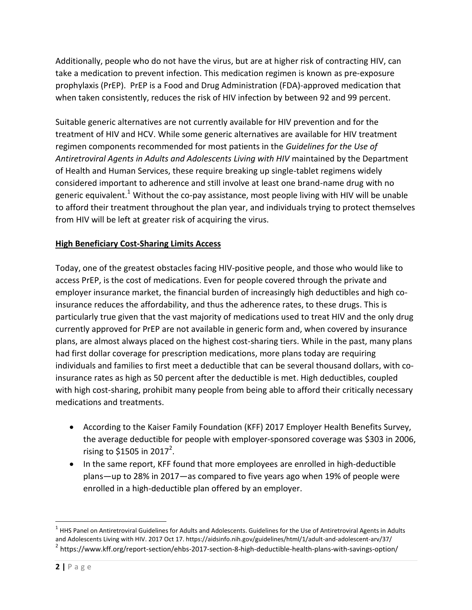Additionally, people who do not have the virus, but are at higher risk of contracting HIV, can take a medication to prevent infection. This medication regimen is known as pre-exposure prophylaxis (PrEP). PrEP is a Food and Drug Administration (FDA)-approved medication that when taken consistently, reduces the risk of HIV infection by between 92 and 99 percent.

Suitable generic alternatives are not currently available for HIV prevention and for the treatment of HIV and HCV. While some generic alternatives are available for HIV treatment regimen components recommended for most patients in the *Guidelines for the Use of Antiretroviral Agents in Adults and Adolescents Living with HIV* maintained by the Department of Health and Human Services, these require breaking up single-tablet regimens widely considered important to adherence and still involve at least one brand-name drug with no generic equivalent.<sup>1</sup> Without the co-pay assistance, most people living with HIV will be unable to afford their treatment throughout the plan year, and individuals trying to protect themselves from HIV will be left at greater risk of acquiring the virus.

### **High Beneficiary Cost-Sharing Limits Access**

Today, one of the greatest obstacles facing HIV-positive people, and those who would like to access PrEP, is the cost of medications. Even for people covered through the private and employer insurance market, the financial burden of increasingly high deductibles and high coinsurance reduces the affordability, and thus the adherence rates, to these drugs. This is particularly true given that the vast majority of medications used to treat HIV and the only drug currently approved for PrEP are not available in generic form and, when covered by insurance plans, are almost always placed on the highest cost-sharing tiers. While in the past, many plans had first dollar coverage for prescription medications, more plans today are requiring individuals and families to first meet a deductible that can be several thousand dollars, with coinsurance rates as high as 50 percent after the deductible is met. High deductibles, coupled with high cost-sharing, prohibit many people from being able to afford their critically necessary medications and treatments.

- According to the Kaiser Family Foundation (KFF) 2017 Employer Health Benefits Survey, the average deductible for people with employer-sponsored coverage was \$303 in 2006, rising to \$1505 in 2017<sup>2</sup>.
- In the same report, KFF found that more employees are enrolled in high-deductible plans—up to 28% in 2017—as compared to five years ago when 19% of people were enrolled in a high-deductible plan offered by an employer.

 $\overline{a}$ 

 $^1$  HHS Panel on Antiretroviral Guidelines for Adults and Adolescents. Guidelines for the Use of Antiretroviral Agents in Adults and Adolescents Living with HIV. 2017 Oct 17. https://aidsinfo.nih.gov/guidelines/html/1/adult-and-adolescent-arv/37/ <sup>2</sup> https://www.kff.org/report-section/ehbs-2017-section-8-high-deductible-health-plans-with-savings-option/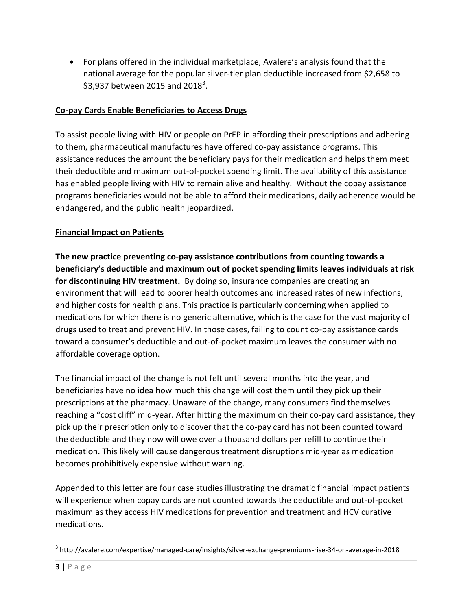For plans offered in the individual marketplace, Avalere's analysis found that the national average for the popular silver-tier plan deductible increased from \$2,658 to \$3,937 between 2015 and 2018<sup>3</sup>.

### **Co-pay Cards Enable Beneficiaries to Access Drugs**

To assist people living with HIV or people on PrEP in affording their prescriptions and adhering to them, pharmaceutical manufactures have offered co-pay assistance programs. This assistance reduces the amount the beneficiary pays for their medication and helps them meet their deductible and maximum out-of-pocket spending limit. The availability of this assistance has enabled people living with HIV to remain alive and healthy. Without the copay assistance programs beneficiaries would not be able to afford their medications, daily adherence would be endangered, and the public health jeopardized.

#### **Financial Impact on Patients**

**The new practice preventing co-pay assistance contributions from counting towards a beneficiary's deductible and maximum out of pocket spending limits leaves individuals at risk for discontinuing HIV treatment.** By doing so, insurance companies are creating an environment that will lead to poorer health outcomes and increased rates of new infections, and higher costs for health plans. This practice is particularly concerning when applied to medications for which there is no generic alternative, which is the case for the vast majority of drugs used to treat and prevent HIV. In those cases, failing to count co-pay assistance cards toward a consumer's deductible and out-of-pocket maximum leaves the consumer with no affordable coverage option.

The financial impact of the change is not felt until several months into the year, and beneficiaries have no idea how much this change will cost them until they pick up their prescriptions at the pharmacy. Unaware of the change, many consumers find themselves reaching a "cost cliff" mid-year. After hitting the maximum on their co-pay card assistance, they pick up their prescription only to discover that the co-pay card has not been counted toward the deductible and they now will owe over a thousand dollars per refill to continue their medication. This likely will cause dangerous treatment disruptions mid-year as medication becomes prohibitively expensive without warning.

Appended to this letter are four case studies illustrating the dramatic financial impact patients will experience when copay cards are not counted towards the deductible and out-of-pocket maximum as they access HIV medications for prevention and treatment and HCV curative medications.

 $\overline{\phantom{a}}$ 

 $^3$  http://avalere.com/expertise/managed-care/insights/silver-exchange-premiums-rise-34-on-average-in-2018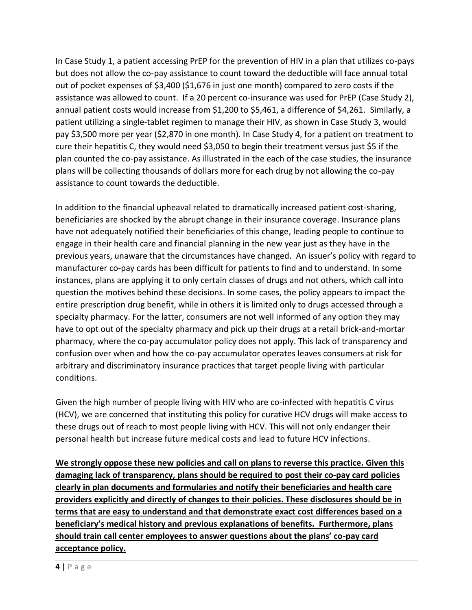In Case Study 1, a patient accessing PrEP for the prevention of HIV in a plan that utilizes co-pays but does not allow the co-pay assistance to count toward the deductible will face annual total out of pocket expenses of \$3,400 (\$1,676 in just one month) compared to zero costs if the assistance was allowed to count. If a 20 percent co-insurance was used for PrEP (Case Study 2), annual patient costs would increase from \$1,200 to \$5,461, a difference of \$4,261. Similarly, a patient utilizing a single-tablet regimen to manage their HIV, as shown in Case Study 3, would pay \$3,500 more per year (\$2,870 in one month). In Case Study 4, for a patient on treatment to cure their hepatitis C, they would need \$3,050 to begin their treatment versus just \$5 if the plan counted the co-pay assistance. As illustrated in the each of the case studies, the insurance plans will be collecting thousands of dollars more for each drug by not allowing the co-pay assistance to count towards the deductible.

In addition to the financial upheaval related to dramatically increased patient cost-sharing, beneficiaries are shocked by the abrupt change in their insurance coverage. Insurance plans have not adequately notified their beneficiaries of this change, leading people to continue to engage in their health care and financial planning in the new year just as they have in the previous years, unaware that the circumstances have changed. An issuer's policy with regard to manufacturer co-pay cards has been difficult for patients to find and to understand. In some instances, plans are applying it to only certain classes of drugs and not others, which call into question the motives behind these decisions. In some cases, the policy appears to impact the entire prescription drug benefit, while in others it is limited only to drugs accessed through a specialty pharmacy. For the latter, consumers are not well informed of any option they may have to opt out of the specialty pharmacy and pick up their drugs at a retail brick-and-mortar pharmacy, where the co-pay accumulator policy does not apply. This lack of transparency and confusion over when and how the co-pay accumulator operates leaves consumers at risk for arbitrary and discriminatory insurance practices that target people living with particular conditions.

Given the high number of people living with HIV who are co-infected with hepatitis C virus (HCV), we are concerned that instituting this policy for curative HCV drugs will make access to these drugs out of reach to most people living with HCV. This will not only endanger their personal health but increase future medical costs and lead to future HCV infections.

**We strongly oppose these new policies and call on plans to reverse this practice. Given this damaging lack of transparency, plans should be required to post their co-pay card policies clearly in plan documents and formularies and notify their beneficiaries and health care providers explicitly and directly of changes to their policies. These disclosures should be in terms that are easy to understand and that demonstrate exact cost differences based on a beneficiary's medical history and previous explanations of benefits. Furthermore, plans should train call center employees to answer questions about the plans' co-pay card acceptance policy.**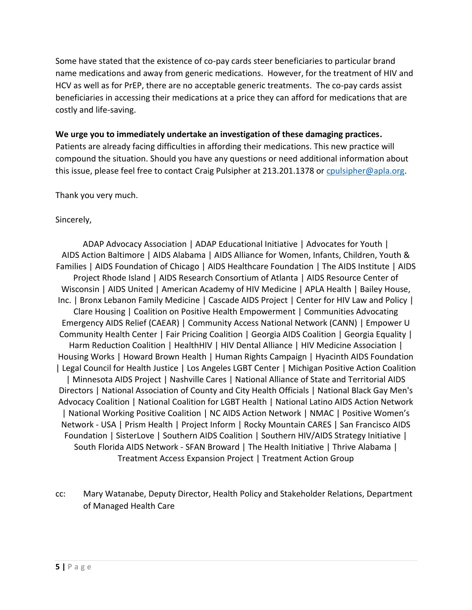Some have stated that the existence of co-pay cards steer beneficiaries to particular brand name medications and away from generic medications. However, for the treatment of HIV and HCV as well as for PrEP, there are no acceptable generic treatments. The co-pay cards assist beneficiaries in accessing their medications at a price they can afford for medications that are costly and life-saving.

#### **We urge you to immediately undertake an investigation of these damaging practices.**

Patients are already facing difficulties in affording their medications. This new practice will compound the situation. Should you have any questions or need additional information about this issue, please feel free to contact Craig Pulsipher at 213.201.1378 or [cpulsipher@apla.org.](mailto:cpulsipher@apla.org)

Thank you very much.

#### Sincerely,

ADAP Advocacy Association | ADAP Educational Initiative | Advocates for Youth | AIDS Action Baltimore | AIDS Alabama | AIDS Alliance for Women, Infants, Children, Youth & Families | AIDS Foundation of Chicago | AIDS Healthcare Foundation | The AIDS Institute | AIDS Project Rhode Island | AIDS Research Consortium of Atlanta | AIDS Resource Center of Wisconsin | AIDS United | American Academy of HIV Medicine | APLA Health | Bailey House, Inc. | Bronx Lebanon Family Medicine | Cascade AIDS Project | Center for HIV Law and Policy | Clare Housing | Coalition on Positive Health Empowerment | Communities Advocating Emergency AIDS Relief (CAEAR) | Community Access National Network (CANN) | Empower U Community Health Center | Fair Pricing Coalition | Georgia AIDS Coalition | Georgia Equality | Harm Reduction Coalition | HealthHIV | HIV Dental Alliance | HIV Medicine Association | Housing Works | Howard Brown Health | Human Rights Campaign | Hyacinth AIDS Foundation | Legal Council for Health Justice | Los Angeles LGBT Center | Michigan Positive Action Coalition | Minnesota AIDS Project | Nashville Cares | National Alliance of State and Territorial AIDS Directors | National Association of County and City Health Officials | National Black Gay Men's Advocacy Coalition | National Coalition for LGBT Health | National Latino AIDS Action Network | National Working Positive Coalition | NC AIDS Action Network | NMAC | Positive Women's Network - USA | Prism Health | Project Inform | Rocky Mountain CARES | San Francisco AIDS Foundation | SisterLove | Southern AIDS Coalition | Southern HIV/AIDS Strategy Initiative | South Florida AIDS Network - SFAN Broward | The Health Initiative | Thrive Alabama | Treatment Access Expansion Project | Treatment Action Group

cc: Mary Watanabe, Deputy Director, Health Policy and Stakeholder Relations, Department of Managed Health Care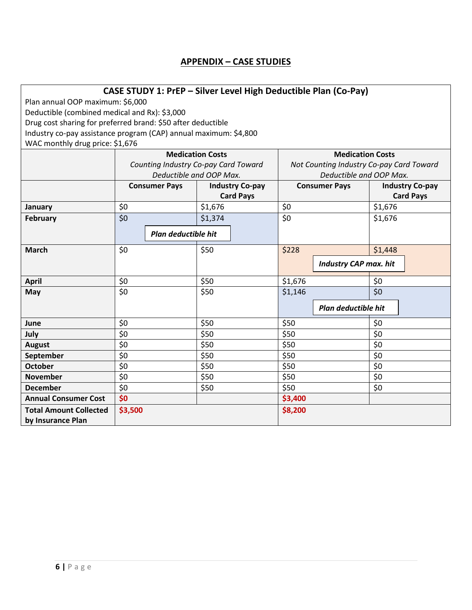## **APPENDIX – CASE STUDIES**

| CASE STUDY 1: PrEP - Silver Level High Deductible Plan (Co-Pay)  |                                                    |                                                                                            |         |                  |                                                |                     |                              |                  |  |  |
|------------------------------------------------------------------|----------------------------------------------------|--------------------------------------------------------------------------------------------|---------|------------------|------------------------------------------------|---------------------|------------------------------|------------------|--|--|
| Plan annual OOP maximum: \$6,000                                 |                                                    |                                                                                            |         |                  |                                                |                     |                              |                  |  |  |
| Deductible (combined medical and Rx): \$3,000                    |                                                    |                                                                                            |         |                  |                                                |                     |                              |                  |  |  |
| Drug cost sharing for preferred brand: \$50 after deductible     |                                                    |                                                                                            |         |                  |                                                |                     |                              |                  |  |  |
| Industry co-pay assistance program (CAP) annual maximum: \$4,800 |                                                    |                                                                                            |         |                  |                                                |                     |                              |                  |  |  |
| WAC monthly drug price: \$1,676                                  |                                                    |                                                                                            |         |                  |                                                |                     |                              |                  |  |  |
|                                                                  | <b>Medication Costs</b><br><b>Medication Costs</b> |                                                                                            |         |                  |                                                |                     |                              |                  |  |  |
|                                                                  |                                                    |                                                                                            |         |                  | Not Counting Industry Co-pay Card Toward       |                     |                              |                  |  |  |
|                                                                  |                                                    | Counting Industry Co-pay Card Toward<br>Deductible and OOP Max.<br>Deductible and OOP Max. |         |                  |                                                |                     |                              |                  |  |  |
|                                                                  | <b>Consumer Pays</b><br><b>Industry Co-pay</b>     |                                                                                            |         |                  | <b>Industry Co-pay</b><br><b>Consumer Pays</b> |                     |                              |                  |  |  |
|                                                                  |                                                    |                                                                                            |         | <b>Card Pays</b> |                                                |                     |                              | <b>Card Pays</b> |  |  |
| January                                                          | \$0                                                |                                                                                            | \$1,676 |                  | \$0                                            |                     | \$1,676                      |                  |  |  |
| February                                                         | \$0                                                |                                                                                            | \$1,374 |                  | \$0                                            |                     | \$1,676                      |                  |  |  |
|                                                                  |                                                    |                                                                                            |         |                  |                                                |                     |                              |                  |  |  |
|                                                                  |                                                    | Plan deductible hit                                                                        |         |                  |                                                |                     |                              |                  |  |  |
| <b>March</b>                                                     | \$0                                                |                                                                                            | \$50    |                  | \$228                                          |                     | \$1,448                      |                  |  |  |
|                                                                  |                                                    |                                                                                            |         |                  |                                                |                     | <b>Industry CAP max. hit</b> |                  |  |  |
|                                                                  |                                                    |                                                                                            |         |                  |                                                |                     |                              |                  |  |  |
| <b>April</b>                                                     | \$0                                                |                                                                                            | \$50    |                  | \$1,676                                        |                     | \$0                          |                  |  |  |
| May                                                              | \$0                                                |                                                                                            | \$50    |                  | \$1,146                                        |                     | $\overline{\xi_0}$           |                  |  |  |
|                                                                  |                                                    |                                                                                            |         |                  |                                                | Plan deductible hit |                              |                  |  |  |
|                                                                  |                                                    |                                                                                            |         |                  |                                                |                     |                              |                  |  |  |
| June                                                             | \$0                                                |                                                                                            | \$50    |                  | \$50                                           |                     | \$0                          |                  |  |  |
| July                                                             | $\overline{\xi}$                                   |                                                                                            | \$50    |                  | \$50                                           |                     | $\overline{50}$              |                  |  |  |
| <b>August</b>                                                    | \$0                                                |                                                                                            | \$50    |                  | \$50                                           |                     | \$0                          |                  |  |  |
| September                                                        | \$0                                                |                                                                                            | \$50    |                  | \$50                                           |                     | \$0                          |                  |  |  |
| <b>October</b>                                                   | \$0                                                |                                                                                            | \$50    |                  | \$50                                           |                     | \$0                          |                  |  |  |
| <b>November</b>                                                  | \$0                                                |                                                                                            | \$50    |                  | \$50                                           |                     | \$0                          |                  |  |  |
| <b>December</b>                                                  | \$0                                                |                                                                                            | \$50    |                  | \$50                                           |                     | \$0                          |                  |  |  |
| <b>Annual Consumer Cost</b>                                      | \$0                                                |                                                                                            |         |                  | \$3,400                                        |                     |                              |                  |  |  |
| <b>Total Amount Collected</b>                                    | \$3,500<br>\$8,200                                 |                                                                                            |         |                  |                                                |                     |                              |                  |  |  |
| by Insurance Plan                                                |                                                    |                                                                                            |         |                  |                                                |                     |                              |                  |  |  |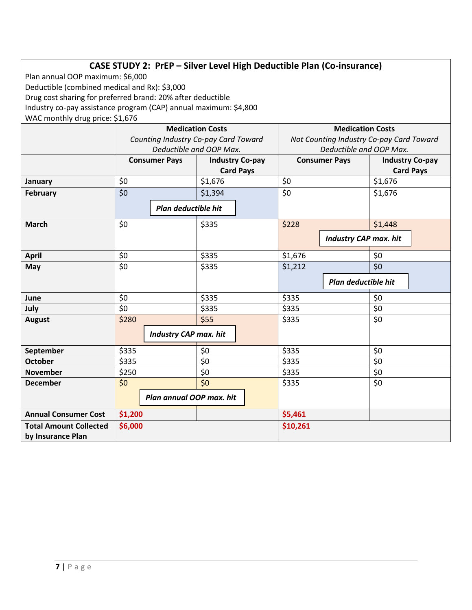# **CASE STUDY 2: PrEP – Silver Level High Deductible Plan (Co-insurance)**

Plan annual OOP maximum: \$6,000

Deductible (combined medical and Rx): \$3,000

Drug cost sharing for preferred brand: 20% after deductible

Industry co-pay assistance program (CAP) annual maximum: \$4,800

WAC monthly drug price: \$1,676

|                               |                              |  | <b>Medication Costs</b>              |                                          | <b>Medication Costs</b>      |            |                        |  |
|-------------------------------|------------------------------|--|--------------------------------------|------------------------------------------|------------------------------|------------|------------------------|--|
|                               |                              |  | Counting Industry Co-pay Card Toward | Not Counting Industry Co-pay Card Toward |                              |            |                        |  |
|                               | Deductible and OOP Max.      |  |                                      | Deductible and OOP Max.                  |                              |            |                        |  |
|                               | <b>Consumer Pays</b>         |  | <b>Industry Co-pay</b>               |                                          | <b>Consumer Pays</b>         |            | <b>Industry Co-pay</b> |  |
|                               |                              |  | <b>Card Pays</b>                     |                                          |                              |            | <b>Card Pays</b>       |  |
| January                       | \$0                          |  | \$1,676                              | \$0                                      |                              |            | \$1,676                |  |
| February                      | \$0                          |  | \$1,394                              | \$0                                      |                              |            | \$1,676                |  |
|                               | Plan deductible hit          |  |                                      |                                          |                              |            |                        |  |
| <b>March</b>                  | \$0                          |  | \$335                                | \$228                                    |                              |            | \$1,448                |  |
|                               |                              |  |                                      |                                          | <b>Industry CAP max. hit</b> |            |                        |  |
| <b>April</b>                  | \$0                          |  | \$335                                | \$1,676                                  |                              | \$0        |                        |  |
| May                           | \$0                          |  | \$335                                | \$1,212                                  |                              | \$0        |                        |  |
|                               |                              |  |                                      |                                          | Plan deductible hit          |            |                        |  |
| June                          | \$0                          |  | \$335                                | \$335                                    |                              | \$0<br>\$0 |                        |  |
| July                          | \$0                          |  | \$335                                | \$335                                    |                              |            |                        |  |
| <b>August</b>                 | \$280                        |  | \$55                                 | \$335                                    |                              |            |                        |  |
|                               | <b>Industry CAP max. hit</b> |  |                                      |                                          |                              |            |                        |  |
| September                     | \$335                        |  | \$0                                  | \$335                                    |                              | \$0        |                        |  |
| <b>October</b>                | \$335                        |  | $\overline{50}$                      | \$335                                    |                              | \$0        |                        |  |
| <b>November</b>               | \$250                        |  | \$0                                  | \$335                                    |                              | \$0        |                        |  |
| <b>December</b>               | \$0                          |  | \$0                                  | \$335                                    |                              | \$0        |                        |  |
|                               | Plan annual OOP max. hit     |  |                                      |                                          |                              |            |                        |  |
| <b>Annual Consumer Cost</b>   | \$1,200                      |  |                                      | \$5,461                                  |                              |            |                        |  |
| <b>Total Amount Collected</b> | \$6,000                      |  |                                      | \$10,261                                 |                              |            |                        |  |
| by Insurance Plan             |                              |  |                                      |                                          |                              |            |                        |  |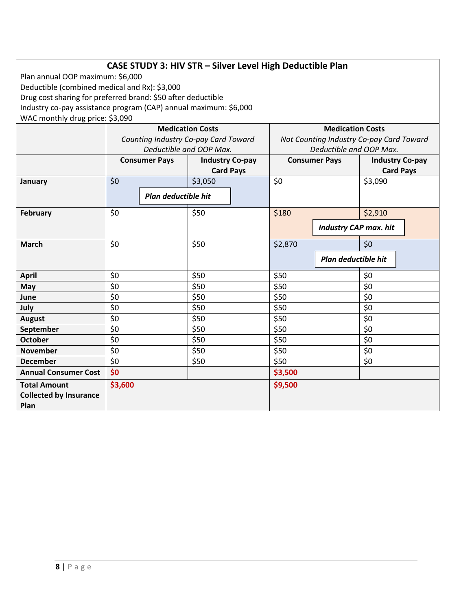# **CASE STUDY 3: HIV STR – Silver Level High Deductible Plan**

Plan annual OOP maximum: \$6,000 Deductible (combined medical and Rx): \$3,000 Drug cost sharing for preferred brand: \$50 after deductible Industry co-pay assistance program (CAP) annual maximum: \$6,000 WAC monthly drug price: \$3,090

| $\frac{1}{2}$                                                |                                      |                         |                                            |  |                                          |                     |                                            |  |
|--------------------------------------------------------------|--------------------------------------|-------------------------|--------------------------------------------|--|------------------------------------------|---------------------|--------------------------------------------|--|
|                                                              |                                      |                         | <b>Medication Costs</b>                    |  | <b>Medication Costs</b>                  |                     |                                            |  |
|                                                              | Counting Industry Co-pay Card Toward |                         |                                            |  | Not Counting Industry Co-pay Card Toward |                     |                                            |  |
|                                                              |                                      | Deductible and OOP Max. |                                            |  | Deductible and OOP Max.                  |                     |                                            |  |
|                                                              | <b>Consumer Pays</b>                 |                         | <b>Industry Co-pay</b><br><b>Card Pays</b> |  | <b>Consumer Pays</b>                     |                     | <b>Industry Co-pay</b><br><b>Card Pays</b> |  |
|                                                              |                                      |                         |                                            |  |                                          |                     |                                            |  |
| January                                                      | \$0                                  |                         | \$3,050                                    |  | \$0                                      |                     | \$3,090                                    |  |
|                                                              |                                      | Plan deductible hit     |                                            |  |                                          |                     |                                            |  |
| February                                                     | \$0                                  |                         | \$50                                       |  | \$180                                    |                     | \$2,910                                    |  |
|                                                              |                                      |                         |                                            |  |                                          |                     | <b>Industry CAP max. hit</b>               |  |
| \$0<br><b>March</b>                                          |                                      |                         | \$50                                       |  | \$2,870                                  |                     | \$0                                        |  |
|                                                              |                                      |                         |                                            |  |                                          | Plan deductible hit |                                            |  |
| <b>April</b>                                                 | \$0                                  |                         | \$50                                       |  | \$50                                     |                     | \$0                                        |  |
| May                                                          | \$0                                  |                         | \$50                                       |  | \$50                                     |                     | \$0                                        |  |
| June                                                         | \$0                                  |                         | \$50                                       |  | \$50                                     |                     | \$0                                        |  |
| July                                                         | \$0                                  |                         | \$50                                       |  | \$50                                     |                     | \$0                                        |  |
| <b>August</b>                                                | \$0                                  |                         | \$50                                       |  | \$50                                     |                     | \$0                                        |  |
| September                                                    | \$0                                  |                         | \$50                                       |  | \$50                                     |                     | \$0                                        |  |
| <b>October</b>                                               | \$0                                  |                         | \$50                                       |  | \$50                                     |                     | \$0                                        |  |
| <b>November</b>                                              | \$0                                  |                         | \$50                                       |  | \$50                                     |                     | \$0                                        |  |
| <b>December</b>                                              | \$0                                  |                         | \$50                                       |  | \$50                                     |                     | \$0                                        |  |
| <b>Annual Consumer Cost</b>                                  | \$0                                  |                         |                                            |  | \$3,500                                  |                     |                                            |  |
| <b>Total Amount</b><br><b>Collected by Insurance</b><br>Plan | \$3,600                              |                         |                                            |  | \$9,500                                  |                     |                                            |  |